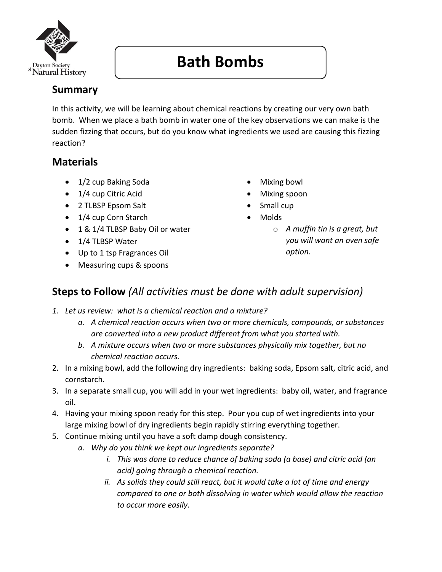

## **Bath Bombs**

## **Summary**

In this activity, we will be learning about chemical reactions by creating our very own bath bomb. When we place a bath bomb in water one of the key observations we can make is the sudden fizzing that occurs, but do you know what ingredients we used are causing this fizzing reaction?

## **Materials**

- 1/2 cup Baking Soda
- 1/4 cup Citric Acid
- 2 TLBSP Epsom Salt
- 1/4 cup Corn Starch
- 1 & 1/4 TLBSP Baby Oil or water
- 1/4 TLBSP Water
- Up to 1 tsp Fragrances Oil
- Measuring cups & spoons
- Mixing bowl
- Mixing spoon
- Small cup
- Molds
	- o *A muffin tin is a great, but you will want an oven safe option.*

## **Steps to Follow** *(All activities must be done with adult supervision)*

- *1. Let us review: what is a chemical reaction and a mixture?*
	- *a. A chemical reaction occurs when two or more chemicals, compounds, or substances are converted into a new product different from what you started with.*
	- *b. A mixture occurs when two or more substances physically mix together, but no chemical reaction occurs.*
- 2. In a mixing bowl, add the following dry ingredients: baking soda, Epsom salt, citric acid, and cornstarch.
- 3. In a separate small cup, you will add in your wet ingredients: baby oil, water, and fragrance oil.
- 4. Having your mixing spoon ready for this step. Pour you cup of wet ingredients into your large mixing bowl of dry ingredients begin rapidly stirring everything together.
- 5. Continue mixing until you have a soft damp dough consistency.
	- *a. Why do you think we kept our ingredients separate?*
		- *i. This was done to reduce chance of baking soda (a base) and citric acid (an acid) going through a chemical reaction.*
		- *ii. As solids they could still react, but it would take a lot of time and energy compared to one or both dissolving in water which would allow the reaction to occur more easily.*